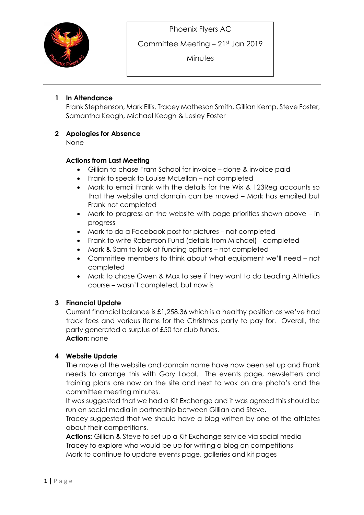

Committee Meeting – 21st Jan 2019

**Minutes** 

### 1 In Attendance

Frank Stephenson, Mark Ellis, Tracey Matheson Smith, Gillian Kemp, Steve Foster, Samantha Keogh, Michael Keogh & Lesley Foster

## 2 Apologies for Absence

None

#### Actions from Last Meeting

- Gillian to chase Fram School for invoice done & invoice paid
- Frank to speak to Louise McLellan not completed
- Mark to email Frank with the details for the Wix & 123Reg accounts so that the website and domain can be moved – Mark has emailed but Frank not completed
- Mark to progress on the website with page priorities shown above in progress
- Mark to do a Facebook post for pictures not completed
- Frank to write Robertson Fund (details from Michael) completed
- Mark & Sam to look at funding options not completed
- Committee members to think about what equipment we'll need not completed
- Mark to chase Owen & Max to see if they want to do Leading Athletics course – wasn't completed, but now is

#### 3 Financial Update

Current financial balance is £1,258.36 which is a healthy position as we've had track fees and various items for the Christmas party to pay for. Overall, the party generated a surplus of £50 for club funds. Action: none

#### 4 Website Update

The move of the website and domain name have now been set up and Frank needs to arrange this with Gary Local. The events page, newsletters and training plans are now on the site and next to wok on are photo's and the committee meeting minutes.

It was suggested that we had a Kit Exchange and it was agreed this should be run on social media in partnership between Gillian and Steve.

Tracey suggested that we should have a blog written by one of the athletes about their competitions.

Actions: Gillian & Steve to set up a Kit Exchange service via social media Tracey to explore who would be up for writing a blog on competitions Mark to continue to update events page, galleries and kit pages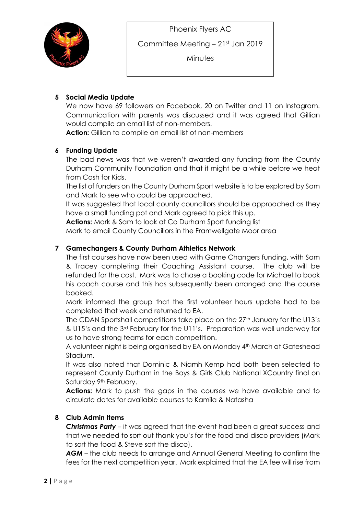

Committee Meeting – 21st Jan 2019

**Minutes** 

# 5 Social Media Update

We now have 69 followers on Facebook, 20 on Twitter and 11 on Instagram. Communication with parents was discussed and it was agreed that Gillian would compile an email list of non-members.

Action: Gillian to compile an email list of non-members

#### 6 Funding Update

The bad news was that we weren't awarded any funding from the County Durham Community Foundation and that it might be a while before we heat from Cash for Kids.

The list of funders on the County Durham Sport website is to be explored by Sam and Mark to see who could be approached.

It was suggested that local county councillors should be approached as they have a small funding pot and Mark agreed to pick this up.

Actions: Mark & Sam to look at Co Durham Sport funding list

Mark to email County Councillors in the Framwellgate Moor area

## 7 Gamechangers & County Durham Athletics Network

The first courses have now been used with Game Changers funding, with Sam & Tracey completing their Coaching Assistant course. The club will be refunded for the cost. Mark was to chase a booking code for Michael to book his coach course and this has subsequently been arranged and the course booked.

Mark informed the group that the first volunteer hours update had to be completed that week and returned to EA.

The CDAN Sportshall competitions take place on the 27<sup>th</sup> January for the U13's & U15's and the 3rd February for the U11's. Preparation was well underway for us to have strong teams for each competition.

A volunteer night is being organised by EA on Monday 4th March at Gateshead Stadium.

It was also noted that Dominic & Niamh Kemp had both been selected to represent County Durham in the Boys & Girls Club National XCountry final on Saturday 9<sup>th</sup> February.

Actions: Mark to push the gaps in the courses we have available and to circulate dates for available courses to Kamila & Natasha

#### 8 Club Admin Items

**Christmas Party** – it was agreed that the event had been a great success and that we needed to sort out thank you's for the food and disco providers (Mark to sort the food & Steve sort the disco).

AGM – the club needs to arrange and Annual General Meeting to confirm the fees for the next competition year. Mark explained that the EA fee will rise from